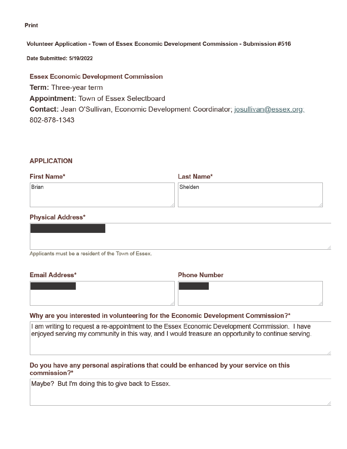**Print** 

### Volunteer Application - Town of Essex Economic Development Commission - Submission #516

Date Submitted: 5/19/2022

**Essex Economic Development Commission Term: Three-year term Appointment: Town of Essex Selectboard Contact:** Jean O'Sullivan, Economic Development Coordinator; josullivan@essex.org; 802-878-1343

# **APPLICATION**

| <b>First Name*</b> | <b>Last Name*</b> |
|--------------------|-------------------|
| Brian              | Shelden           |
|                    |                   |
|                    |                   |

# **Physical Address\***

| Applicants must be a resident of the Town of Essex. |  |
|-----------------------------------------------------|--|

# **Email Address\***

# **Phone Number**

# Why are you interested in volunteering for the Economic Development Commission?\*

I am writing to request a re-appointment to the Essex Economic Development Commission. I have enjoyed serving my community in this way, and I would treasure an opportunity to continue serving.

# Do you have any personal aspirations that could be enhanced by your service on this commission?\*

Maybe? But I'm doing this to give back to Essex.

/,